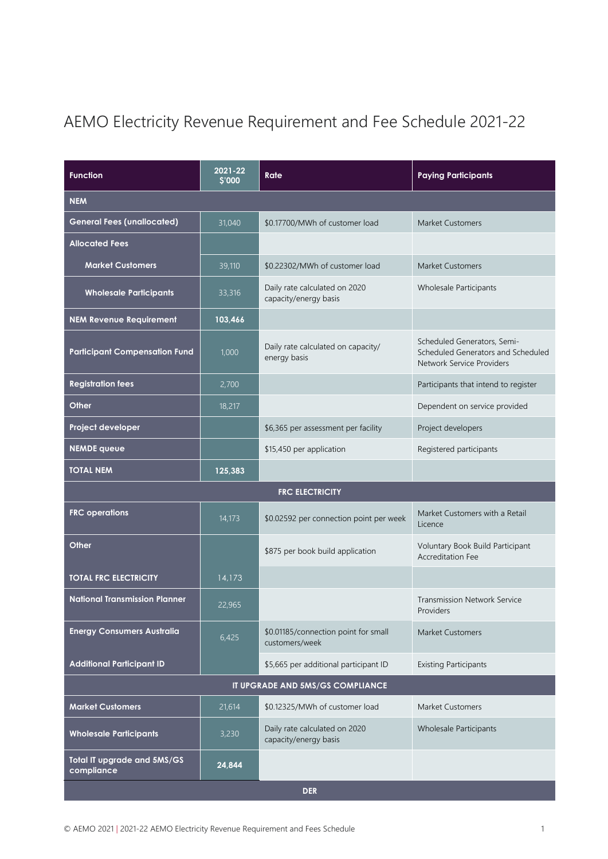# AEMO Electricity Revenue Requirement and Fee Schedule 2021-22

| <b>Function</b>                           | 2021-22<br>\$'000 | Rate                                                   | <b>Paying Participants</b>                                                                     |
|-------------------------------------------|-------------------|--------------------------------------------------------|------------------------------------------------------------------------------------------------|
| <b>NEM</b>                                |                   |                                                        |                                                                                                |
| <b>General Fees (unallocated)</b>         | 31,040            | \$0.17700/MWh of customer load                         | Market Customers                                                                               |
| <b>Allocated Fees</b>                     |                   |                                                        |                                                                                                |
| <b>Market Customers</b>                   | 39,110            | \$0.22302/MWh of customer load                         | <b>Market Customers</b>                                                                        |
| <b>Wholesale Participants</b>             | 33,316            | Daily rate calculated on 2020<br>capacity/energy basis | <b>Wholesale Participants</b>                                                                  |
| <b>NEM Revenue Requirement</b>            | 103,466           |                                                        |                                                                                                |
| <b>Participant Compensation Fund</b>      | 1,000             | Daily rate calculated on capacity/<br>energy basis     | Scheduled Generators, Semi-<br>Scheduled Generators and Scheduled<br>Network Service Providers |
| <b>Registration fees</b>                  | 2,700             |                                                        | Participants that intend to register                                                           |
| <b>Other</b>                              | 18,217            |                                                        | Dependent on service provided                                                                  |
| Project developer                         |                   | \$6,365 per assessment per facility                    | Project developers                                                                             |
| <b>NEMDE queue</b>                        |                   | \$15,450 per application                               | Registered participants                                                                        |
| <b>TOTAL NEM</b>                          | 125,383           |                                                        |                                                                                                |
|                                           |                   | <b>FRC ELECTRICITY</b>                                 |                                                                                                |
| <b>FRC</b> operations                     | 14,173            | \$0.02592 per connection point per week                | Market Customers with a Retail<br>Licence                                                      |
| <b>Other</b>                              |                   | \$875 per book build application                       | Voluntary Book Build Participant<br><b>Accreditation Fee</b>                                   |
|                                           |                   |                                                        |                                                                                                |
| <b>TOTAL FRC ELECTRICITY</b>              | 14,173            |                                                        |                                                                                                |
| <b>National Transmission Planner</b>      | 22,965            |                                                        | <b>Transmission Network Service</b><br>Providers                                               |
| <b>Energy Consumers Australia</b>         | 6,425             | \$0.01185/connection point for small<br>customers/week | <b>Market Customers</b>                                                                        |
| <b>Additional Participant ID</b>          |                   | \$5,665 per additional participant ID                  | <b>Existing Participants</b>                                                                   |
|                                           |                   | IT UPGRADE AND 5MS/GS COMPLIANCE                       |                                                                                                |
| <b>Market Customers</b>                   | 21,614            | \$0.12325/MWh of customer load                         | <b>Market Customers</b>                                                                        |
| <b>Wholesale Participants</b>             | 3,230             | Daily rate calculated on 2020<br>capacity/energy basis | <b>Wholesale Participants</b>                                                                  |
| Total IT upgrade and 5MS/GS<br>compliance | 24,844            |                                                        |                                                                                                |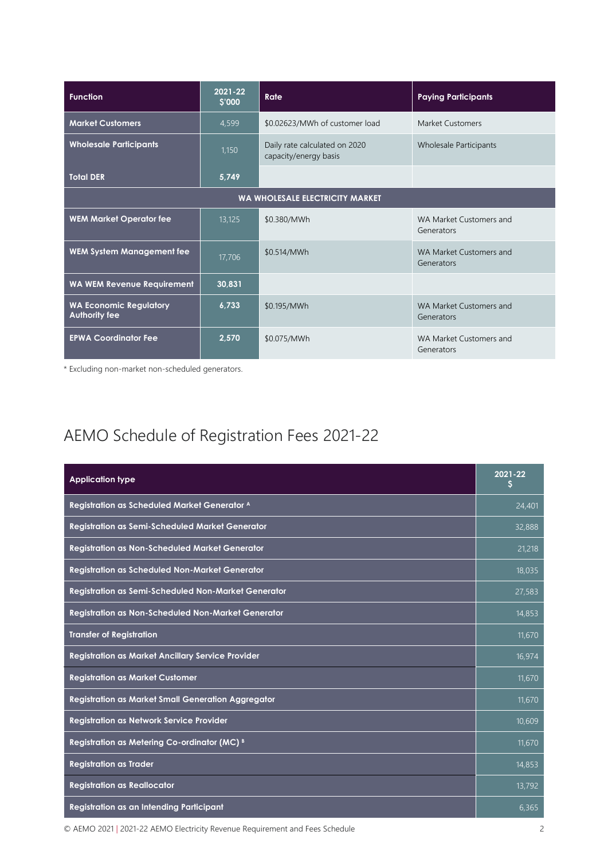| <b>Function</b>                                       | 2021-22<br>\$'000 | Rate                                                   | <b>Paying Participants</b>            |
|-------------------------------------------------------|-------------------|--------------------------------------------------------|---------------------------------------|
| <b>Market Customers</b>                               | 4,599             | \$0.02623/MWh of customer load                         | <b>Market Customers</b>               |
| <b>Wholesale Participants</b>                         | 1,150             | Daily rate calculated on 2020<br>capacity/energy basis | Wholesale Participants                |
| <b>Total DER</b>                                      | 5,749             |                                                        |                                       |
| <b>WA WHOLESALE ELECTRICITY MARKET</b>                |                   |                                                        |                                       |
| <b>WEM Market Operator fee</b>                        | 13,125            | \$0.380/MWh                                            | WA Market Customers and<br>Generators |
| <b>WEM System Management fee</b>                      | 17,706            | \$0.514/MWh                                            | WA Market Customers and<br>Generators |
| <b>WA WEM Revenue Requirement</b>                     | 30,831            |                                                        |                                       |
| <b>WA Economic Regulatory</b><br><b>Authority fee</b> | 6,733             | \$0.195/MWh                                            | WA Market Customers and<br>Generators |
| <b>EPWA Coordinator Fee</b>                           | 2,570             | \$0.075/MWh                                            | WA Market Customers and<br>Generators |

\* Excluding non-market non-scheduled generators.

## AEMO Schedule of Registration Fees 2021-22

| <b>Application type</b>                                   | 2021-22<br>Ş |
|-----------------------------------------------------------|--------------|
| Registration as Scheduled Market Generator A              | 24,401       |
| Registration as Semi-Scheduled Market Generator           | 32,888       |
| <b>Registration as Non-Scheduled Market Generator</b>     | 21,218       |
| <b>Registration as Scheduled Non-Market Generator</b>     | 18,035       |
| Registration as Semi-Scheduled Non-Market Generator       | 27,583       |
| <b>Registration as Non-Scheduled Non-Market Generator</b> | 14,853       |
| <b>Transfer of Registration</b>                           | 11,670       |
| <b>Registration as Market Ancillary Service Provider</b>  | 16,974       |
| <b>Registration as Market Customer</b>                    | 11,670       |
| <b>Registration as Market Small Generation Aggregator</b> | 11,670       |
| <b>Registration as Network Service Provider</b>           | 10,609       |
| Registration as Metering Co-ordinator (MC) B              | 11,670       |
| <b>Registration as Trader</b>                             | 14,853       |
| <b>Registration as Reallocator</b>                        | 13,792       |
| Registration as an Intending Participant                  | 6,365        |

© AEMO 2021 | 2021-22 AEMO Electricity Revenue Requirement and Fees Schedule 2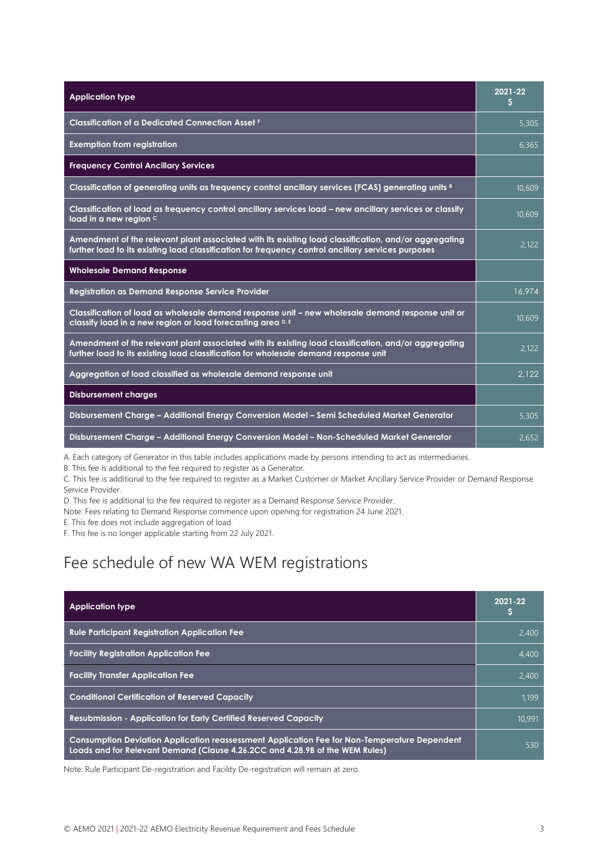| <b>Application type</b>                                                                                                                                                                                    | 2021-22<br>s |
|------------------------------------------------------------------------------------------------------------------------------------------------------------------------------------------------------------|--------------|
| <b>Classification of a Dedicated Connection Asset F</b>                                                                                                                                                    | 5,305        |
| <b>Exemption from registration</b>                                                                                                                                                                         | 6.365        |
| <b>Frequency Control Ancillary Services</b>                                                                                                                                                                |              |
| Classification of generating units as frequency control ancillary services (FCAS) generating units <sup>B</sup>                                                                                            | 10,609       |
| Classification of load as frequency control ancillary services load – new ancillary services or classify<br>load in a new region c                                                                         | 10,609       |
| Amendment of the relevant plant associated with its existing load classification, and/or aggregating<br>further load to its existing load classification for frequency control ancillary services purposes | 2,122        |
| <b>Wholesale Demand Response</b>                                                                                                                                                                           |              |
| Registration as Demand Response Service Provider                                                                                                                                                           | 16,974       |
| Classification of load as wholesale demand response unit – new wholesale demand response unit or<br>classify load in a new region or load forecasting area D, E                                            | 10,609       |
| Amendment of the relevant plant associated with its existing load classification, and/or aggregating<br>further load to its existing load classification for wholesale demand response unit                | 2.122        |
| Aggregation of load classified as wholesale demand response unit                                                                                                                                           | 2.122        |
| <b>Disbursement charges</b>                                                                                                                                                                                |              |
| Disbursement Charge - Additional Energy Conversion Model - Semi Scheduled Market Generator                                                                                                                 | 5,305        |
| Disbursement Charge - Additional Energy Conversion Model - Non-Scheduled Market Generator                                                                                                                  | 2,652        |

A. Each category of Generator in this table includes applications made by persons intending to act as intermediaries.

B. This fee is additional to the fee required to register as a Generator.

C. This fee is additional to the fee required to register as a Market Customer or Market Ancillary Service Provider or Demand Response Service Provider.

D. This fee is additional to the fee required to register as a Demand Response Service Provider.

Note: Fees relating to Demand Response commence upon opening for registration 24 June 2021.

E. This fee does not include aggregation of load.

F. This fee is no longer applicable starting from 22 July 2021.

#### Fee schedule of new WA WEM registrations

| <b>Application type</b>                                                                                                                                                      | 2021-22 |
|------------------------------------------------------------------------------------------------------------------------------------------------------------------------------|---------|
| <b>Rule Participant Registration Application Fee</b>                                                                                                                         | 2.400   |
| <b>Facility Registration Application Fee</b>                                                                                                                                 | 4.400   |
| <b>Facility Transfer Application Fee</b>                                                                                                                                     | 2.400   |
| <b>Conditional Certification of Reserved Capacity</b>                                                                                                                        | 1.199   |
| <b>Resubmission - Application for Early Certified Reserved Capacity</b>                                                                                                      | 10,991  |
| Consumption Deviation Application reassessment Application Fee for Non-Temperature Dependent<br>Loads and for Relevant Demand (Clause 4.26.2CC and 4.28.9B of the WEM Rules) | 530     |

Note: Rule Participant De-registration and Facility De-registration will remain at zero.